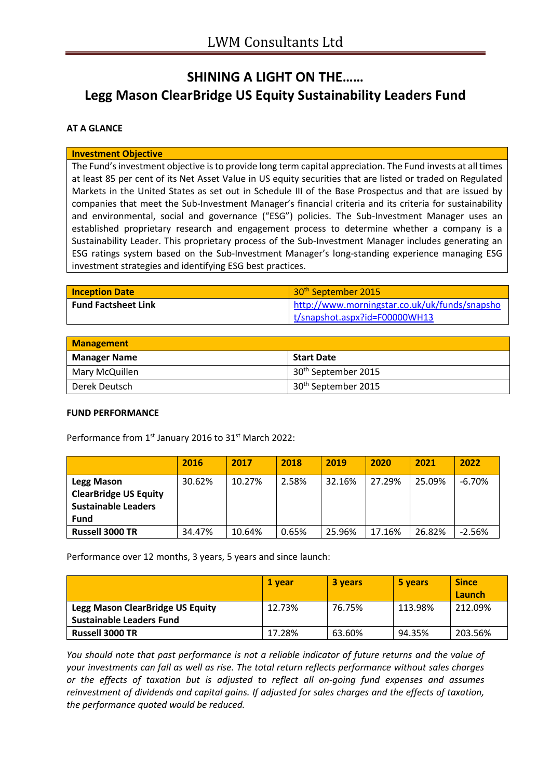# **SHINING A LIGHT ON THE…… Legg Mason ClearBridge US Equity Sustainability Leaders Fund**

# **AT A GLANCE**

#### **Investment Objective**

The Fund's investment objective is to provide long term capital appreciation. The Fund invests at all times at least 85 per cent of its Net Asset Value in US equity securities that are listed or traded on Regulated Markets in the United States as set out in Schedule III of the Base Prospectus and that are issued by companies that meet the Sub-Investment Manager's financial criteria and its criteria for sustainability and environmental, social and governance ("ESG") policies. The Sub-Investment Manager uses an established proprietary research and engagement process to determine whether a company is a Sustainability Leader. This proprietary process of the Sub-Investment Manager includes generating an ESG ratings system based on the Sub-Investment Manager's long-standing experience managing ESG investment strategies and identifying ESG best practices.

| <b>Inception Date</b>      | 30 <sup>th</sup> September 2015               |
|----------------------------|-----------------------------------------------|
| <b>Fund Factsheet Link</b> | http://www.morningstar.co.uk/uk/funds/snapsho |
|                            | t/snapshot.aspx?id=F00000WH13                 |

| <b>Management</b>   |                                 |  |
|---------------------|---------------------------------|--|
| <b>Manager Name</b> | <b>Start Date</b>               |  |
| Mary McQuillen      | 30 <sup>th</sup> September 2015 |  |
| Derek Deutsch       | 30 <sup>th</sup> September 2015 |  |

## **FUND PERFORMANCE**

Performance from 1<sup>st</sup> January 2016 to 31<sup>st</sup> March 2022:

|                                                                                         | 2016   | 2017   | 2018  | 2019   | 2020   | 2021   | 2022     |
|-----------------------------------------------------------------------------------------|--------|--------|-------|--------|--------|--------|----------|
| Legg Mason<br><b>ClearBridge US Equity</b><br><b>Sustainable Leaders</b><br><b>Fund</b> | 30.62% | 10.27% | 2.58% | 32.16% | 27.29% | 25.09% | $-6.70%$ |
| <b>Russell 3000 TR</b>                                                                  | 34.47% | 10.64% | 0.65% | 25.96% | 17.16% | 26.82% | $-2.56%$ |

Performance over 12 months, 3 years, 5 years and since launch:

|                                                                     | 1 vear | <b>3 years</b> | 5 years | <b>Since</b><br>Launch |
|---------------------------------------------------------------------|--------|----------------|---------|------------------------|
| Legg Mason ClearBridge US Equity<br><b>Sustainable Leaders Fund</b> | 12.73% | 76.75%         | 113.98% | 212.09%                |
| <b>Russell 3000 TR</b>                                              | 17.28% | 63.60%         | 94.35%  | 203.56%                |

*You should note that past performance is not a reliable indicator of future returns and the value of your investments can fall as well as rise. The total return reflects performance without sales charges or the effects of taxation but is adjusted to reflect all on-going fund expenses and assumes reinvestment of dividends and capital gains. If adjusted for sales charges and the effects of taxation, the performance quoted would be reduced.*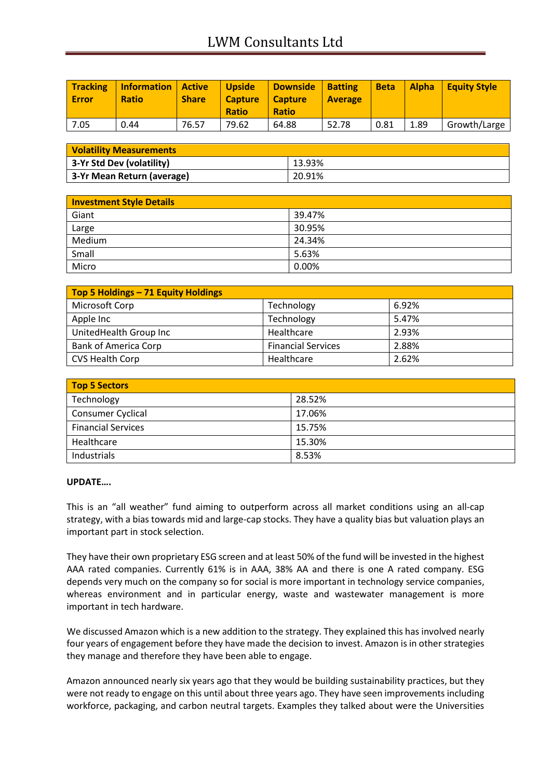| <b>Tracking</b><br><b>Error</b> | Information   Active<br><b>Ratio</b> | <b>Share</b> | <b>Upside</b><br><b>Capture</b><br><b>Ratio</b> | Downside   Batting<br>  Capture<br><b>Ratio</b> | <b>Average</b> | <b>Beta</b> |      | Alpha Equity Style |
|---------------------------------|--------------------------------------|--------------|-------------------------------------------------|-------------------------------------------------|----------------|-------------|------|--------------------|
| 7.05                            | 0.44                                 | 76.57        | 79.62                                           | 64.88                                           | 52.78          | 0.81        | 1.89 | Growth/Large       |

| <b>Volatility Measurements</b> |        |  |
|--------------------------------|--------|--|
| 3-Yr Std Dev (volatility)      | 13.93% |  |
| 3-Yr Mean Return (average)     | 20.91% |  |

| <b>Investment Style Details</b> |        |
|---------------------------------|--------|
| Giant                           | 39.47% |
| Large                           | 30.95% |
| Medium                          | 24.34% |
| Small                           | 5.63%  |
| Micro                           | 0.00%  |

| Top 5 Holdings - 71 Equity Holdings |                           |       |
|-------------------------------------|---------------------------|-------|
| Microsoft Corp                      | Technology                | 6.92% |
| Apple Inc                           | Technology                | 5.47% |
| UnitedHealth Group Inc              | Healthcare                | 2.93% |
| <b>Bank of America Corp</b>         | <b>Financial Services</b> | 2.88% |
| <b>CVS Health Corp</b>              | Healthcare                | 2.62% |

| <b>Top 5 Sectors</b>      |        |  |
|---------------------------|--------|--|
| Technology                | 28.52% |  |
| <b>Consumer Cyclical</b>  | 17.06% |  |
| <b>Financial Services</b> | 15.75% |  |
| Healthcare                | 15.30% |  |
| Industrials               | 8.53%  |  |

## **UPDATE….**

This is an "all weather" fund aiming to outperform across all market conditions using an all-cap strategy, with a bias towards mid and large-cap stocks. They have a quality bias but valuation plays an important part in stock selection.

They have their own proprietary ESG screen and at least 50% of the fund will be invested in the highest AAA rated companies. Currently 61% is in AAA, 38% AA and there is one A rated company. ESG depends very much on the company so for social is more important in technology service companies, whereas environment and in particular energy, waste and wastewater management is more important in tech hardware.

We discussed Amazon which is a new addition to the strategy. They explained this has involved nearly four years of engagement before they have made the decision to invest. Amazon is in other strategies they manage and therefore they have been able to engage.

Amazon announced nearly six years ago that they would be building sustainability practices, but they were not ready to engage on this until about three years ago. They have seen improvements including workforce, packaging, and carbon neutral targets. Examples they talked about were the Universities